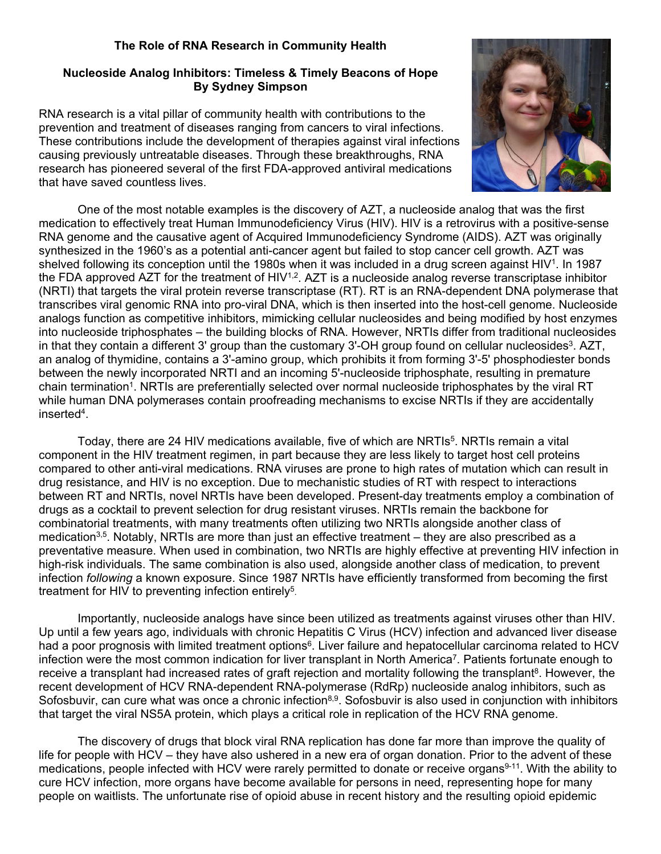## **The Role of RNA Research in Community Health**

## **Nucleoside Analog Inhibitors: Timeless & Timely Beacons of Hope By Sydney Simpson**

RNA research is a vital pillar of community health with contributions to the prevention and treatment of diseases ranging from cancers to viral infections. These contributions include the development of therapies against viral infections causing previously untreatable diseases. Through these breakthroughs, RNA research has pioneered several of the first FDA-approved antiviral medications that have saved countless lives.



One of the most notable examples is the discovery of AZT, a nucleoside analog that was the first medication to effectively treat Human Immunodeficiency Virus (HIV). HIV is a retrovirus with a positive-sense RNA genome and the causative agent of Acquired Immunodeficiency Syndrome (AIDS). AZT was originally synthesized in the 1960's as a potential anti-cancer agent but failed to stop cancer cell growth. AZT was shelved following its conception until the 1980s when it was included in a drug screen against HIV<sup>1</sup>. In 1987 the FDA approved AZT for the treatment of HIV<sup>1,2</sup>. AZT is a nucleoside analog reverse transcriptase inhibitor (NRTI) that targets the viral protein reverse transcriptase (RT). RT is an RNA-dependent DNA polymerase that transcribes viral genomic RNA into pro-viral DNA, which is then inserted into the host-cell genome. Nucleoside analogs function as competitive inhibitors, mimicking cellular nucleosides and being modified by host enzymes into nucleoside triphosphates – the building blocks of RNA. However, NRTIs differ from traditional nucleosides in that they contain a different 3' group than the customary 3'-OH group found on cellular nucleosides<sup>3</sup>. AZT, an analog of thymidine, contains a 3'-amino group, which prohibits it from forming 3'-5' phosphodiester bonds between the newly incorporated NRTI and an incoming 5'-nucleoside triphosphate, resulting in premature chain termination<sup>1</sup>. NRTIs are preferentially selected over normal nucleoside triphosphates by the viral RT while human DNA polymerases contain proofreading mechanisms to excise NRTIs if they are accidentally inserted4.

Today, there are 24 HIV medications available, five of which are NRTIs<sup>5</sup>. NRTIs remain a vital component in the HIV treatment regimen, in part because they are less likely to target host cell proteins compared to other anti-viral medications. RNA viruses are prone to high rates of mutation which can result in drug resistance, and HIV is no exception. Due to mechanistic studies of RT with respect to interactions between RT and NRTIs, novel NRTIs have been developed. Present-day treatments employ a combination of drugs as a cocktail to prevent selection for drug resistant viruses. NRTIs remain the backbone for combinatorial treatments, with many treatments often utilizing two NRTIs alongside another class of medication<sup>3,5</sup>. Notably, NRTIs are more than just an effective treatment – they are also prescribed as a preventative measure. When used in combination, two NRTIs are highly effective at preventing HIV infection in high-risk individuals. The same combination is also used, alongside another class of medication, to prevent infection *following* a known exposure. Since 1987 NRTIs have efficiently transformed from becoming the first treatment for HIV to preventing infection entirely<sup>5</sup>.

Importantly, nucleoside analogs have since been utilized as treatments against viruses other than HIV. Up until a few years ago, individuals with chronic Hepatitis C Virus (HCV) infection and advanced liver disease had a poor prognosis with limited treatment options<sup>6</sup>. Liver failure and hepatocellular carcinoma related to HCV infection were the most common indication for liver transplant in North America7. Patients fortunate enough to receive a transplant had increased rates of graft rejection and mortality following the transplant<sup>8</sup>. However, the recent development of HCV RNA-dependent RNA-polymerase (RdRp) nucleoside analog inhibitors, such as Sofosbuvir, can cure what was once a chronic infection<sup>8,9</sup>. Sofosbuvir is also used in conjunction with inhibitors that target the viral NS5A protein, which plays a critical role in replication of the HCV RNA genome.

The discovery of drugs that block viral RNA replication has done far more than improve the quality of life for people with HCV – they have also ushered in a new era of organ donation. Prior to the advent of these medications, people infected with HCV were rarely permitted to donate or receive organs<sup>9-11</sup>. With the ability to cure HCV infection, more organs have become available for persons in need, representing hope for many people on waitlists. The unfortunate rise of opioid abuse in recent history and the resulting opioid epidemic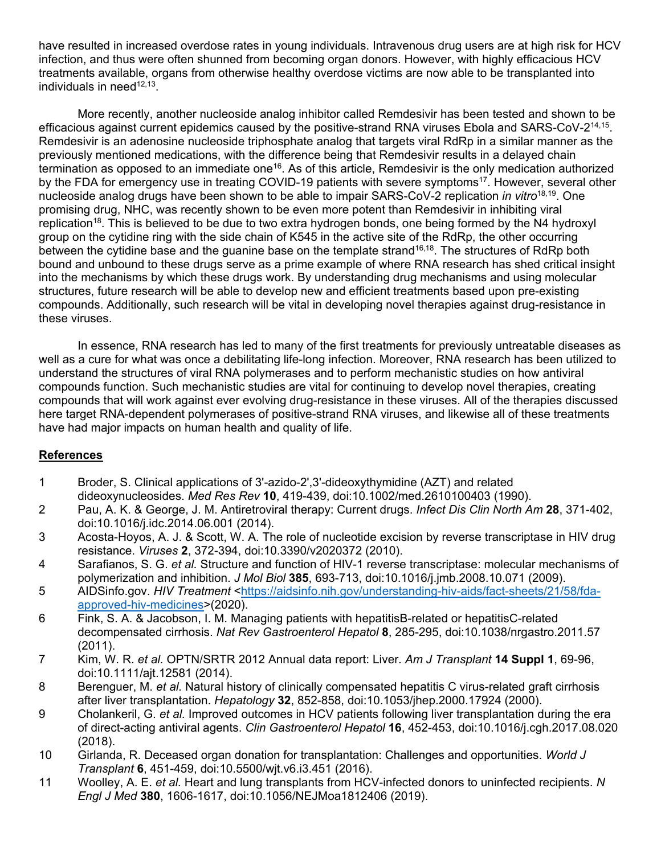have resulted in increased overdose rates in young individuals. Intravenous drug users are at high risk for HCV infection, and thus were often shunned from becoming organ donors. However, with highly efficacious HCV treatments available, organs from otherwise healthy overdose victims are now able to be transplanted into individuals in need $12,13$ .

More recently, another nucleoside analog inhibitor called Remdesivir has been tested and shown to be efficacious against current epidemics caused by the positive-strand RNA viruses Ebola and SARS-CoV-214,15. Remdesivir is an adenosine nucleoside triphosphate analog that targets viral RdRp in a similar manner as the previously mentioned medications, with the difference being that Remdesivir results in a delayed chain termination as opposed to an immediate one<sup>16</sup>. As of this article, Remdesivir is the only medication authorized by the FDA for emergency use in treating COVID-19 patients with severe symptoms<sup>17</sup>. However, several other nucleoside analog drugs have been shown to be able to impair SARS-CoV-2 replication *in vitro*18,19. One promising drug, NHC, was recently shown to be even more potent than Remdesivir in inhibiting viral replication<sup>18</sup>. This is believed to be due to two extra hydrogen bonds, one being formed by the N4 hydroxyl group on the cytidine ring with the side chain of K545 in the active site of the RdRp, the other occurring between the cytidine base and the guanine base on the template strand<sup>16,18</sup>. The structures of RdRp both bound and unbound to these drugs serve as a prime example of where RNA research has shed critical insight into the mechanisms by which these drugs work. By understanding drug mechanisms and using molecular structures, future research will be able to develop new and efficient treatments based upon pre-existing compounds. Additionally, such research will be vital in developing novel therapies against drug-resistance in these viruses.

In essence, RNA research has led to many of the first treatments for previously untreatable diseases as well as a cure for what was once a debilitating life-long infection. Moreover, RNA research has been utilized to understand the structures of viral RNA polymerases and to perform mechanistic studies on how antiviral compounds function. Such mechanistic studies are vital for continuing to develop novel therapies, creating compounds that will work against ever evolving drug-resistance in these viruses. All of the therapies discussed here target RNA-dependent polymerases of positive-strand RNA viruses, and likewise all of these treatments have had major impacts on human health and quality of life.

## **References**

- 1 Broder, S. Clinical applications of 3'-azido-2',3'-dideoxythymidine (AZT) and related dideoxynucleosides. *Med Res Rev* **10**, 419-439, doi:10.1002/med.2610100403 (1990).
- 2 Pau, A. K. & George, J. M. Antiretroviral therapy: Current drugs. *Infect Dis Clin North Am* **28**, 371-402, doi:10.1016/j.idc.2014.06.001 (2014).
- 3 Acosta-Hoyos, A. J. & Scott, W. A. The role of nucleotide excision by reverse transcriptase in HIV drug resistance. *Viruses* **2**, 372-394, doi:10.3390/v2020372 (2010).
- 4 Sarafianos, S. G. *et al.* Structure and function of HIV-1 reverse transcriptase: molecular mechanisms of polymerization and inhibition. *J Mol Biol* **385**, 693-713, doi:10.1016/j.jmb.2008.10.071 (2009).
- 5 AIDSinfo.gov. *HIV Treatment* [<https://aidsinfo.nih.gov/understanding-hiv-aids/fact-sheets/21/58/fda](https://aidsinfo.nih.gov/understanding-hiv-aids/fact-sheets/21/58/fda-approved-hiv-medicines)[approved-hiv-medicines>](https://aidsinfo.nih.gov/understanding-hiv-aids/fact-sheets/21/58/fda-approved-hiv-medicines)(2020).
- 6 Fink, S. A. & Jacobson, I. M. Managing patients with hepatitisB-related or hepatitisC-related decompensated cirrhosis. *Nat Rev Gastroenterol Hepatol* **8**, 285-295, doi:10.1038/nrgastro.2011.57 (2011).
- 7 Kim, W. R. *et al.* OPTN/SRTR 2012 Annual data report: Liver. *Am J Transplant* **14 Suppl 1**, 69-96, doi:10.1111/ajt.12581 (2014).
- 8 Berenguer, M. *et al.* Natural history of clinically compensated hepatitis C virus-related graft cirrhosis after liver transplantation. *Hepatology* **32**, 852-858, doi:10.1053/jhep.2000.17924 (2000).
- 9 Cholankeril, G. *et al.* Improved outcomes in HCV patients following liver transplantation during the era of direct-acting antiviral agents. *Clin Gastroenterol Hepatol* **16**, 452-453, doi:10.1016/j.cgh.2017.08.020 (2018).
- 10 Girlanda, R. Deceased organ donation for transplantation: Challenges and opportunities. *World J Transplant* **6**, 451-459, doi:10.5500/wjt.v6.i3.451 (2016).
- 11 Woolley, A. E. *et al.* Heart and lung transplants from HCV-infected donors to uninfected recipients. *N Engl J Med* **380**, 1606-1617, doi:10.1056/NEJMoa1812406 (2019).